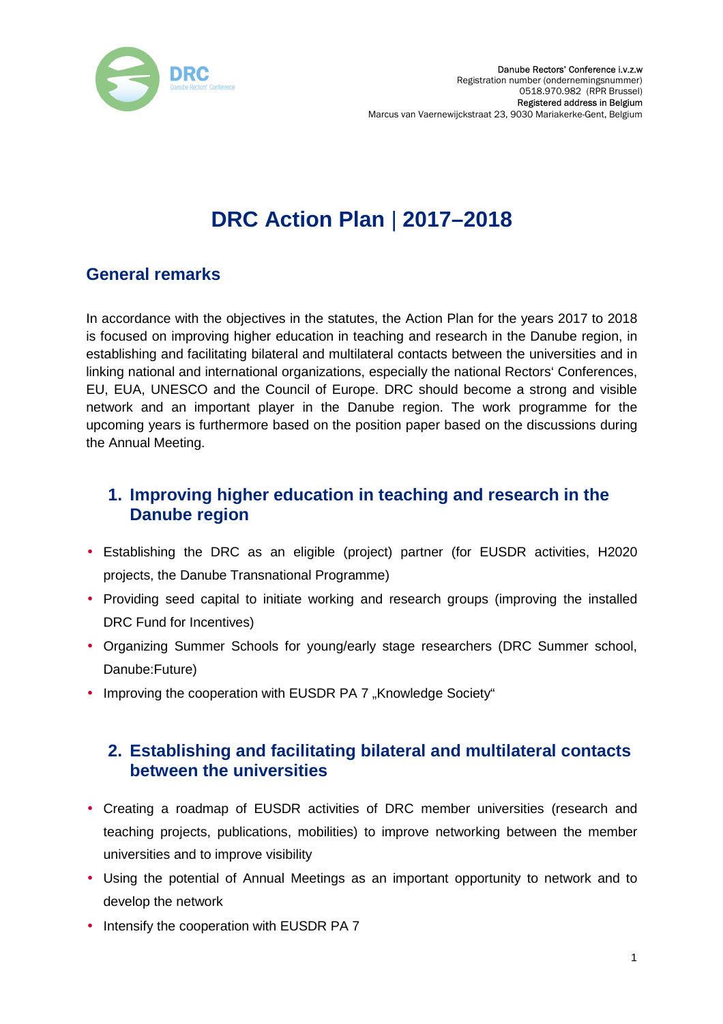

# **DRC Action Plan** | **2017–2018**

## **General remarks**

In accordance with the objectives in the statutes, the Action Plan for the years 2017 to 2018 is focused on improving higher education in teaching and research in the Danube region, in establishing and facilitating bilateral and multilateral contacts between the universities and in linking national and international organizations, especially the national Rectors' Conferences, EU, EUA, UNESCO and the Council of Europe. DRC should become a strong and visible network and an important player in the Danube region. The work programme for the upcoming years is furthermore based on the position paper based on the discussions during the Annual Meeting.

## **1. Improving higher education in teaching and research in the Danube region**

- Establishing the DRC as an eligible (project) partner (for EUSDR activities, H2020 projects, the Danube Transnational Programme)
- Providing seed capital to initiate working and research groups (improving the installed DRC Fund for Incentives)
- Organizing Summer Schools for young/early stage researchers (DRC Summer school, Danube:Future)
- Improving the cooperation with EUSDR PA 7 "Knowledge Society"

#### **2. Establishing and facilitating bilateral and multilateral contacts between the universities**

- Creating a roadmap of EUSDR activities of DRC member universities (research and teaching projects, publications, mobilities) to improve networking between the member universities and to improve visibility
- Using the potential of Annual Meetings as an important opportunity to network and to develop the network
- Intensify the cooperation with EUSDR PA 7